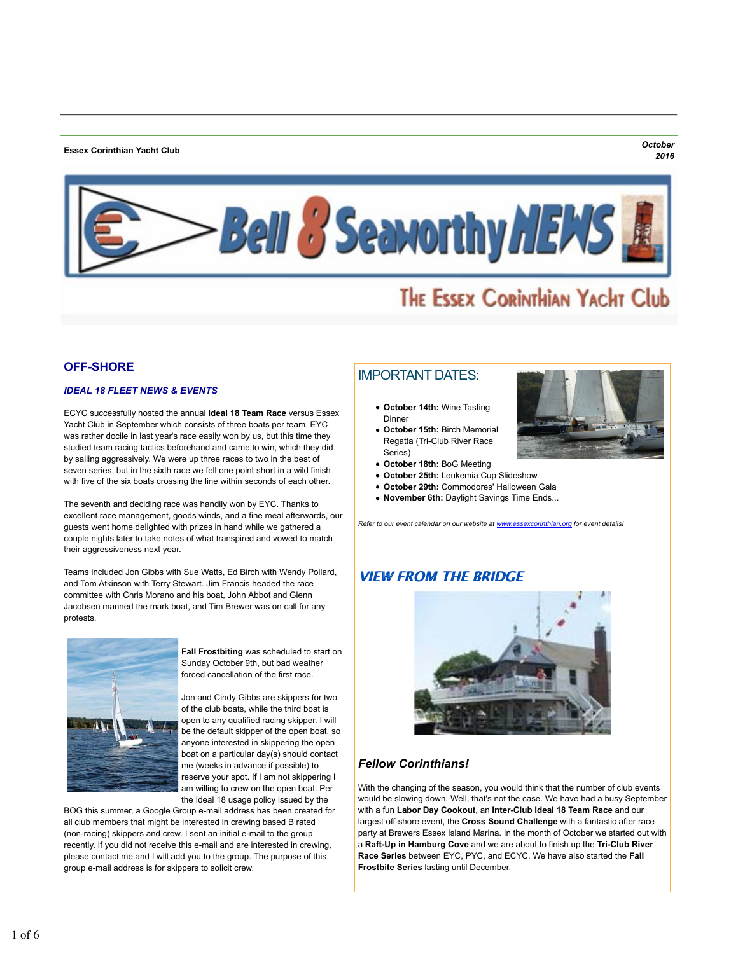**Essex Corinthian Yacht Club** *October*



# THE ESSEX CORINTHIAN YACHT Club

# **OFF-SHORE**

## *IDEAL 18 FLEET NEWS & EVENTS*

ECYC successfully hosted the annual **Ideal 18 Team Race** versus Essex Yacht Club in September which consists of three boats per team. EYC was rather docile in last year's race easily won by us, but this time they studied team racing tactics beforehand and came to win, which they did by sailing aggressively. We were up three races to two in the best of seven series, but in the sixth race we fell one point short in a wild finish with five of the six boats crossing the line within seconds of each other.

The seventh and deciding race was handily won by EYC. Thanks to excellent race management, goods winds, and a fine meal afterwards, our guests went home delighted with prizes in hand while we gathered a couple nights later to take notes of what transpired and vowed to match their aggressiveness next year.

Teams included Jon Gibbs with Sue Watts, Ed Birch with Wendy Pollard, and Tom Atkinson with Terry Stewart. Jim Francis headed the race committee with Chris Morano and his boat, John Abbot and Glenn Jacobsen manned the mark boat, and Tim Brewer was on call for any protests.



**Fall Frostbiting** was scheduled to start on Sunday October 9th, but bad weather forced cancellation of the first race.

Jon and Cindy Gibbs are skippers for two of the club boats, while the third boat is open to any qualified racing skipper. I will be the default skipper of the open boat, so anyone interested in skippering the open boat on a particular day(s) should contact me (weeks in advance if possible) to reserve your spot. If I am not skippering I am willing to crew on the open boat. Per the Ideal 18 usage policy issued by the

BOG this summer, a Google Group e-mail address has been created for all club members that might be interested in crewing based B rated (non-racing) skippers and crew. I sent an initial e-mail to the group recently. If you did not receive this e-mail and are interested in crewing, please contact me and I will add you to the group. The purpose of this group e-mail address is for skippers to solicit crew.

# IMPORTANT DATES:

- **October 14th:** Wine Tasting Dinner
- **October 15th:** Birch Memorial Regatta (Tri-Club River Race Series)
- **October 18th:** BoG Meeting
- **October 25th:** Leukemia Cup Slideshow
- **October 29th:** Commodores' Halloween Gala
- **November 6th:** Daylight Savings Time Ends...

*Refer to our event calendar on our website at www.essexcorinthian.org for event details!*

# **VIFW FROM THE BRIDGE**



# *Fellow Corinthians!*

With the changing of the season, you would think that the number of club events would be slowing down. Well, that's not the case. We have had a busy September with a fun **Labor Day Cookout**, an **Inter-Club Ideal 18 Team Race** and our largest off-shore event, the **Cross Sound Challenge** with a fantastic after race party at Brewers Essex Island Marina. In the month of October we started out with a **Raft-Up in Hamburg Cove** and we are about to finish up the **Tri-Club River Race Series** between EYC, PYC, and ECYC. We have also started the **Fall Frostbite Series** lasting until December.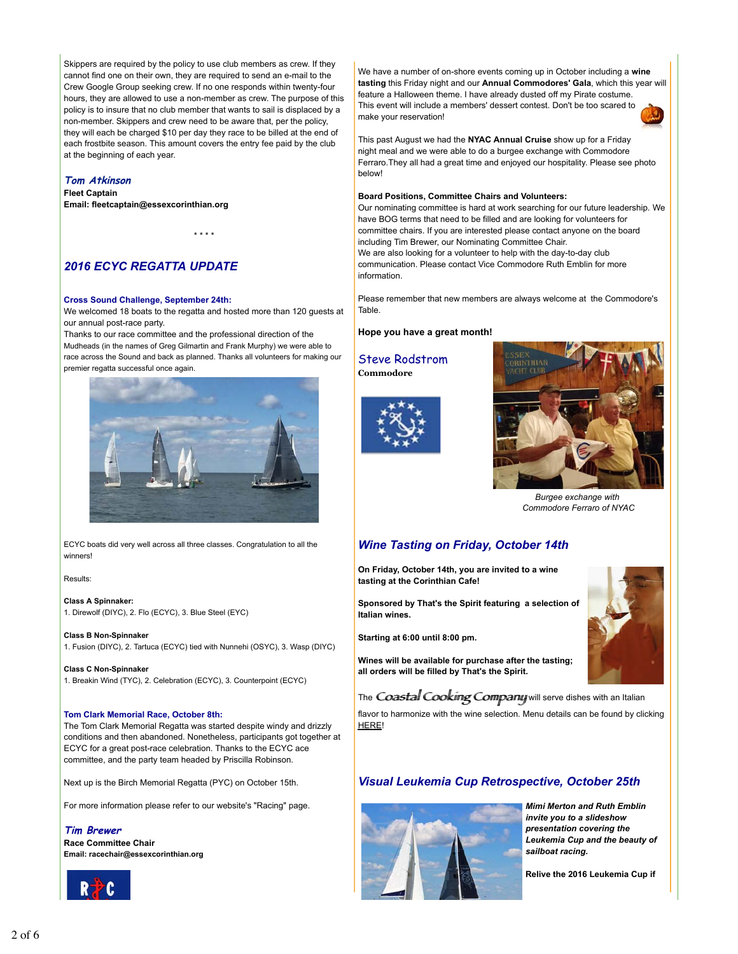Skippers are required by the policy to use club members as crew. If they cannot find one on their own, they are required to send an e-mail to the Crew Google Group seeking crew. If no one responds within twenty-four hours, they are allowed to use a non-member as crew. The purpose of this policy is to insure that no club member that wants to sail is displaced by a non-member. Skippers and crew need to be aware that, per the policy, they will each be charged \$10 per day they race to be billed at the end of each frostbite season. This amount covers the entry fee paid by the club at the beginning of each year.

### **Tom Atkinson**

**Fleet Captain Email: fleetcaptain@essexcorinthian.org**

\* \* \* \*

## *2016 ECYC REGATTA UPDATE*

#### **Cross Sound Challenge, September 24th:**

We welcomed 18 boats to the regatta and hosted more than 120 guests at our annual post-race party.

Thanks to our race committee and the professional direction of the Mudheads (in the names of Greg Gilmartin and Frank Murphy) we were able to race across the Sound and back as planned. Thanks all volunteers for making our premier regatta successful once again.



ECYC boats did very well across all three classes. Congratulation to all the winners!

Results:

**Class A Spinnaker:** 1. Direwolf (DIYC), 2. Flo (ECYC), 3. Blue Steel (EYC)

**Class B Non-Spinnaker**

1. Fusion (DIYC), 2. Tartuca (ECYC) tied with Nunnehi (OSYC), 3. Wasp (DIYC)

**Class C Non-Spinnaker** 1. Breakin Wind (TYC), 2. Celebration (ECYC), 3. Counterpoint (ECYC)

#### **Tom Clark Memorial Race, October 8th:**

The Tom Clark Memorial Regatta was started despite windy and drizzly conditions and then abandoned. Nonetheless, participants got together at ECYC for a great post-race celebration. Thanks to the ECYC ace committee, and the party team headed by Priscilla Robinson.

Next up is the Birch Memorial Regatta (PYC) on October 15th.

For more information please refer to our website's "Racing" page.

#### **Tim Brewer**

**Race Committee Chair Email: racechair@essexcorinthian.org**



We have a number of on-shore events coming up in October including a **wine tasting** this Friday night and our **Annual Commodores' Gala**, which this year will feature a Halloween theme. I have already dusted off my Pirate costume. This event will include a members' dessert contest. Don't be too scared to make your reservation!



This past August we had the **NYAC Annual Cruise** show up for a Friday night meal and we were able to do a burgee exchange with Commodore Ferraro.They all had a great time and enjoyed our hospitality. Please see photo below!

#### **Board Positions, Committee Chairs and Volunteers:**

Our nominating committee is hard at work searching for our future leadership. We have BOG terms that need to be filled and are looking for volunteers for committee chairs. If you are interested please contact anyone on the board including Tim Brewer, our Nominating Committee Chair. We are also looking for a volunteer to help with the day-to-day club communication. Please contact Vice Commodore Ruth Emblin for more information.

Please remember that new members are always welcome at the Commodore's Table.

#### **Hope you have a great month!**

Steve Rodstrom **Commodore**





*Burgee exchange with Commodore Ferraro of NYAC*

## *Wine Tasting on Friday, October 14th*

**On Friday, October 14th, you are invited to a wine tasting at the Corinthian Cafe!**

**Sponsored by That's the Spirit featuring a selection of Italian wines.** 

**Starting at 6:00 until 8:00 pm.** 

**Wines will be available for purchase after the tasting; all orders will be filled by That's the Spirit.** 

The Coastal Cooking Company will serve dishes with an Italian

flavor to harmonize with the wine selection. Menu details can be found by clicking HERE!

## *Visual Leukemia Cup Retrospective, October 25th*



*Mimi Merton and Ruth Emblin invite you to a slideshow presentation covering the Leukemia Cup and the beauty of sailboat racing.* 

**Relive the 2016 Leukemia Cup if**

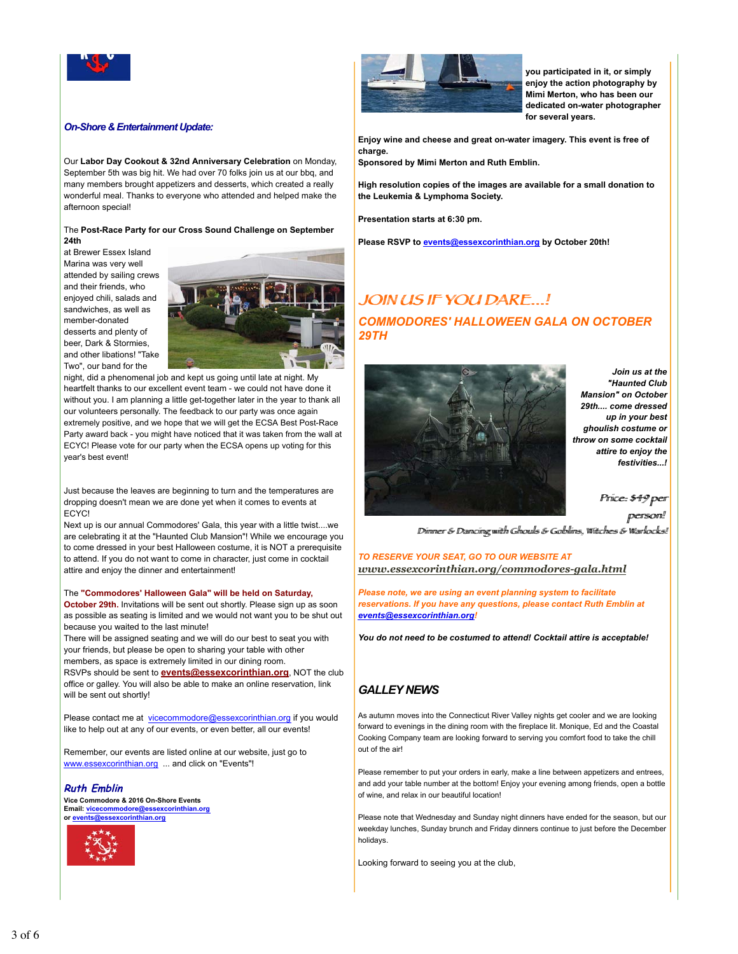

## *On-Shore & Entertainment Update:*

Our **Labor Day Cookout & 32nd Anniversary Celebration** on Monday, September 5th was big hit. We had over 70 folks join us at our bbq, and many members brought appetizers and desserts, which created a really wonderful meal. Thanks to everyone who attended and helped make the afternoon special!

#### The **Post-Race Party for our Cross Sound Challenge on September 24th**

at Brewer Essex Island Marina was very well attended by sailing crews and their friends, who enjoyed chili, salads and sandwiches, as well as member-donated desserts and plenty of beer, Dark & Stormies, and other libations! "Take Two", our band for the



night, did a phenomenal job and kept us going until late at night. My heartfelt thanks to our excellent event team - we could not have done it without you. I am planning a little get-together later in the year to thank all our volunteers personally. The feedback to our party was once again extremely positive, and we hope that we will get the ECSA Best Post-Race Party award back - you might have noticed that it was taken from the wall at ECYC! Please vote for our party when the ECSA opens up voting for this year's best event!

Just because the leaves are beginning to turn and the temperatures are dropping doesn't mean we are done yet when it comes to events at ECYC!

Next up is our annual Commodores' Gala, this year with a little twist....we are celebrating it at the "Haunted Club Mansion"! While we encourage you to come dressed in your best Halloween costume, it is NOT a prerequisite to attend. If you do not want to come in character, just come in cocktail attire and enjoy the dinner and entertainment!

#### The **"Commodores' Halloween Gala" will be held on Saturday,**

**October 29th.** Invitations will be sent out shortly. Please sign up as soon as possible as seating is limited and we would not want you to be shut out because you waited to the last minute!

There will be assigned seating and we will do our best to seat you with your friends, but please be open to sharing your table with other members, as space is extremely limited in our dining room.

RSVPs should be sent to **events@essexcorinthian.org**, NOT the club office or galley. You will also be able to make an online reservation, link will be sent out shortly!

Please contact me at vicecommodore@essexcorinthian.org if you would like to help out at any of our events, or even better, all our events!

Remember, our events are listed online at our website, just go to www.essexcorinthian.org ... and click on "Events"!

**Ruth Emblin Vice Commodore & 2016 On-Shore Events Email: vicecommodore@essexcorinthian.org or events@essexcorinthian.org**





**you participated in it, or simply enjoy the action photography by Mimi Merton, who has been our dedicated on-water photographer for several years.** 

**Enjoy wine and cheese and great on-water imagery. This event is free of charge.** 

**Sponsored by Mimi Merton and Ruth Emblin.**

**High resolution copies of the images are available for a small donation to the Leukemia & Lymphoma Society.**

**Presentation starts at 6:30 pm.** 

**Please RSVP to events@essexcorinthian.org by October 20th!**

# JOIN US IF YOU DARE...! *COMMODORES' HALLOWEEN GALA ON OCTOBER 29TH*



*Join us at the "Haunted Club Mansion" on October 29th.... come dressed up in your best ghoulish costume or throw on some cocktail attire to enjoy the festivities...!*

Priice: \$49 per

person! Diimmer & Dannciingg wiitth Ghhouulls & Gobbliins,, Wiittchhees & Waarllocks!!

*TO RESERVE YOUR SEAT, GO TO OUR WEBSITE AT www.essexcorinthian.org/commodores-gala.html*

*Please note, we are using an event planning system to facilitate reservations. If you have any questions, please contact Ruth Emblin at events@essexcorinthian.org!*

*You do not need to be costumed to attend! Cocktail attire is acceptable!*

## *GALLEY NEWS*

As autumn moves into the Connecticut River Valley nights get cooler and we are looking forward to evenings in the dining room with the fireplace lit. Monique, Ed and the Coastal Cooking Company team are looking forward to serving you comfort food to take the chill out of the air!

Please remember to put your orders in early, make a line between appetizers and entrees, and add your table number at the bottom! Enjoy your evening among friends, open a bottle of wine, and relax in our beautiful location!

Please note that Wednesday and Sunday night dinners have ended for the season, but our weekday lunches, Sunday brunch and Friday dinners continue to just before the December holidays.

Looking forward to seeing you at the club,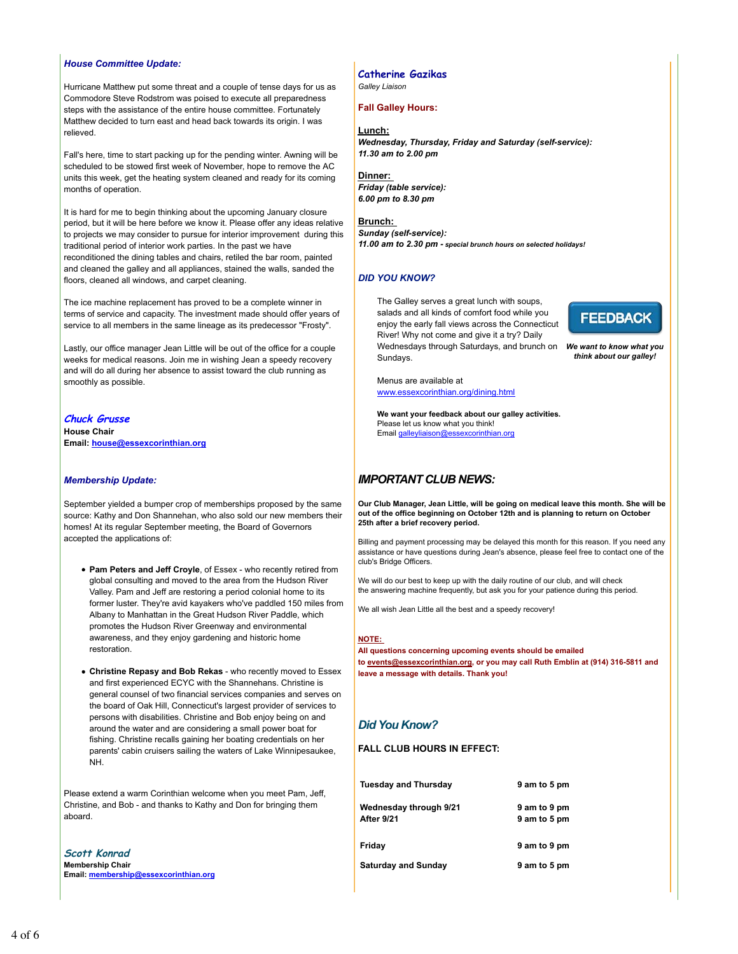#### *House Committee Update:*

Hurricane Matthew put some threat and a couple of tense days for us as Commodore Steve Rodstrom was poised to execute all preparedness steps with the assistance of the entire house committee. Fortunately Matthew decided to turn east and head back towards its origin. I was relieved.

Fall's here, time to start packing up for the pending winter. Awning will be scheduled to be stowed first week of November, hope to remove the AC units this week, get the heating system cleaned and ready for its coming months of operation.

It is hard for me to begin thinking about the upcoming January closure period, but it will be here before we know it. Please offer any ideas relative to projects we may consider to pursue for interior improvement during this traditional period of interior work parties. In the past we have reconditioned the dining tables and chairs, retiled the bar room, painted and cleaned the galley and all appliances, stained the walls, sanded the floors, cleaned all windows, and carpet cleaning.

The ice machine replacement has proved to be a complete winner in terms of service and capacity. The investment made should offer years of service to all members in the same lineage as its predecessor "Frosty".

Lastly, our office manager Jean Little will be out of the office for a couple weeks for medical reasons. Join me in wishing Jean a speedy recovery and will do all during her absence to assist toward the club running as smoothly as possible.

**Chuck Grusse House Chair Email: house@essexcorinthian.org**

#### *Membership Update:*

September yielded a bumper crop of memberships proposed by the same source: Kathy and Don Shannehan, who also sold our new members their homes! At its regular September meeting, the Board of Governors accepted the applications of:

- **Pam Peters and Jeff Croyle**, of Essex who recently retired from global consulting and moved to the area from the Hudson River Valley. Pam and Jeff are restoring a period colonial home to its former luster. They're avid kayakers who've paddled 150 miles from Albany to Manhattan in the Great Hudson River Paddle, which promotes the Hudson River Greenway and environmental awareness, and they enjoy gardening and historic home restoration.
- **Christine Repasy and Bob Rekas** who recently moved to Essex and first experienced ECYC with the Shannehans. Christine is general counsel of two financial services companies and serves on the board of Oak Hill, Connecticut's largest provider of services to persons with disabilities. Christine and Bob enjoy being on and around the water and are considering a small power boat for fishing. Christine recalls gaining her boating credentials on her parents' cabin cruisers sailing the waters of Lake Winnipesaukee, NH.

Please extend a warm Corinthian welcome when you meet Pam, Jeff, Christine, and Bob - and thanks to Kathy and Don for bringing them aboard.

**Scott Konrad Membership Chair Email: membership@essexcorinthian.org**

## **Catherine Gazikas**

*Galley Liaison*

## **Fall Galley Hours:**

#### **Lunch:**

*Wednesday, Thursday, Friday and Saturday (self-service): 11.30 am to 2.00 pm* 

**Dinner:**  *Friday (table service): 6.00 pm to 8.30 pm*

## **Brunch:**  *Sunday (self-service):*

*11.00 am to 2.30 pm - special brunch hours on selected holidays!*

## *DID YOU KNOW?*

Wednesdays through Saturdays, and brunch on We want to know what you The Galley serves a great lunch with soups, salads and all kinds of comfort food while you enjoy the early fall views across the Connecticut River! Why not come and give it a try? Daily Sundays.

**FEEDBACK** 

*think about our galley!*

Menus are available at

www.essexcorinthian.org/dining.html

**We want your feedback about our galley activities.** Please let us know what you think! Email galleyliaison@essexcorinthian.org

## *IMPORTANT CLUB NEWS:*

**Our Club Manager, Jean Little, will be going on medical leave this month. She will be out of the office beginning on October 12th and is planning to return on October 25th after a brief recovery period.**

Billing and payment processing may be delayed this month for this reason. If you need any assistance or have questions during Jean's absence, please feel free to contact one of the club's Bridge Officers.

We will do our best to keep up with the daily routine of our club, and will check the answering machine frequently, but ask you for your patience during this period.

We all wish Jean Little all the best and a speedy recovery!

## **NOTE:**

**All questions concerning upcoming events should be emailed to events@essexcorinthian.org, or you may call Ruth Emblin at (914) 316-5811 and leave a message with details. Thank you!**

# *Did You Know?*

**FALL CLUB HOURS IN EFFECT:**

| <b>Tuesday and Thursday</b>          | 9 am to 5 pm                 |
|--------------------------------------|------------------------------|
| Wednesday through 9/21<br>After 9/21 | 9 am to 9 pm<br>9 am to 5 pm |
| Friday                               | 9 am to 9 pm                 |
| <b>Saturday and Sunday</b>           | 9 am to 5 pm                 |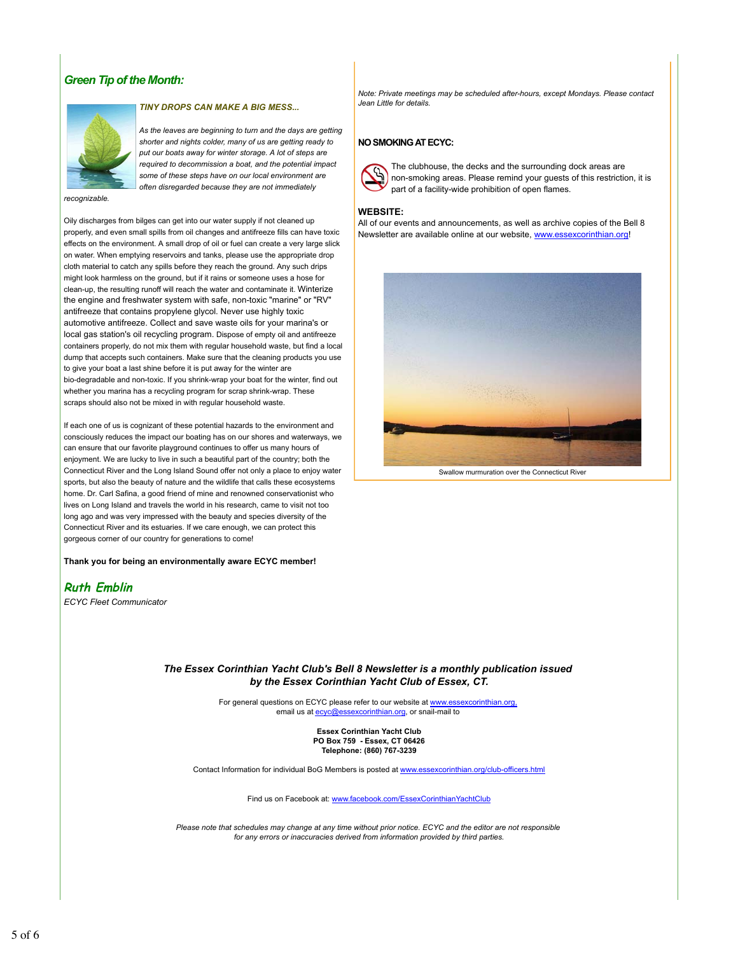## *Green Tip of the Month:*



#### *TINY DROPS CAN MAKE A BIG MESS...*

*As the leaves are beginning to turn and the days are getting shorter and nights colder, many of us are getting ready to put our boats away for winter storage. A lot of steps are required to decommission a boat, and the potential impact some of these steps have on our local environment are often disregarded because they are not immediately*

*recognizable.* 

Oily discharges from bilges can get into our water supply if not cleaned up properly, and even small spills from oil changes and antifreeze fills can have toxic effects on the environment. A small drop of oil or fuel can create a very large slick on water. When emptying reservoirs and tanks, please use the appropriate drop cloth material to catch any spills before they reach the ground. Any such drips might look harmless on the ground, but if it rains or someone uses a hose for clean-up, the resulting runoff will reach the water and contaminate it. Winterize the engine and freshwater system with safe, non-toxic "marine" or "RV" antifreeze that contains propylene glycol. Never use highly toxic automotive antifreeze. Collect and save waste oils for your marina's or local gas station's oil recycling program. Dispose of empty oil and antifreeze containers properly, do not mix them with regular household waste, but find a local dump that accepts such containers. Make sure that the cleaning products you use to give your boat a last shine before it is put away for the winter are bio-degradable and non-toxic. If you shrink-wrap your boat for the winter, find out whether you marina has a recycling program for scrap shrink-wrap. These scraps should also not be mixed in with regular household waste.

If each one of us is cognizant of these potential hazards to the environment and consciously reduces the impact our boating has on our shores and waterways, we can ensure that our favorite playground continues to offer us many hours of enjoyment. We are lucky to live in such a beautiful part of the country; both the Connecticut River and the Long Island Sound offer not only a place to enjoy water sports, but also the beauty of nature and the wildlife that calls these ecosystems home. Dr. Carl Safina, a good friend of mine and renowned conservationist who lives on Long Island and travels the world in his research, came to visit not too long ago and was very impressed with the beauty and species diversity of the Connecticut River and its estuaries. If we care enough, we can protect this gorgeous corner of our country for generations to come!

**Thank you for being an environmentally aware ECYC member!**

**Ruth Emblin**

*ECYC Fleet Communicator*

*Note: Private meetings may be scheduled after-hours, except Mondays. Please contact Jean Little for details.*

#### **NO SMOKING AT ECYC:**



The clubhouse, the decks and the surrounding dock areas are non-smoking areas. Please remind your guests of this restriction, it is part of a facility-wide prohibition of open flames.

## **WEBSITE:**

All of our events and announcements, as well as archive copies of the Bell 8 Newsletter are available online at our website, www.essexcorinthian.org!



Swallow murmuration over the Connecticut River

### *The Essex Corinthian Yacht Club's Bell 8 Newsletter is a monthly publication issued by the Essex Corinthian Yacht Club of Essex, CT.*

For general questions on ECYC please refer to our website at www.essexcorinthian.org, email us at ecyc@essexcorinthian.org, or snail-mail to

> **Essex Corinthian Yacht Club PO Box 759 - Essex, CT 06426 Telephone: (860) 767-3239**

Contact Information for individual BoG Members is posted at www.essexcorinthian.org/club-officers.html

Find us on Facebook at: www.facebook.com/EssexCorinthianYachtClub

*Please note that schedules may change at any time without prior notice. ECYC and the editor are not responsible for any errors or inaccuracies derived from information provided by third parties.*